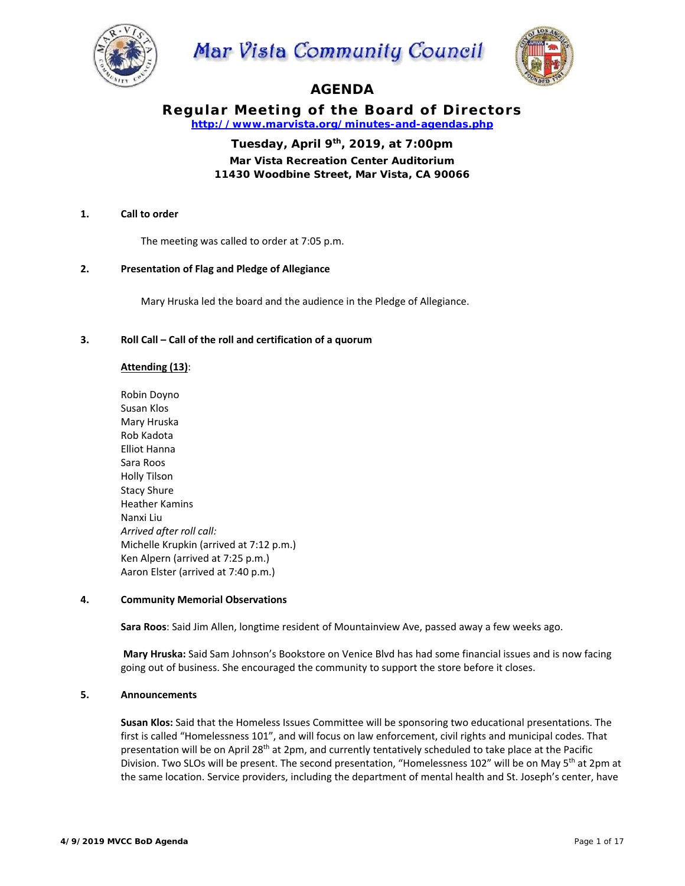

Mar Vista Community Council



# **AGENDA**

# **Regular Meeting of the Board of Directors**  *http://www.marvista.org/minutes-and-agendas.php*

**Tuesday, April 9th, 2019, at 7:00pm** 

**Mar Vista Recreation Center Auditorium 11430 Woodbine Street, Mar Vista, CA 90066** 

# **1. Call to order**

The meeting was called to order at 7:05 p.m.

### **2. Presentation of Flag and Pledge of Allegiance**

Mary Hruska led the board and the audience in the Pledge of Allegiance.

### **3. Roll Call – Call of the roll and certification of a quorum**

### **Attending (13)**:

Robin Doyno Susan Klos Mary Hruska Rob Kadota Elliot Hanna Sara Roos Holly Tilson Stacy Shure Heather Kamins Nanxi Liu *Arrived after roll call:*  Michelle Krupkin (arrived at 7:12 p.m.) Ken Alpern (arrived at 7:25 p.m.) Aaron Elster (arrived at 7:40 p.m.)

#### **4. Community Memorial Observations**

**Sara Roos**: Said Jim Allen, longtime resident of Mountainview Ave, passed away a few weeks ago.

 **Mary Hruska:** Said Sam Johnson's Bookstore on Venice Blvd has had some financial issues and is now facing going out of business. She encouraged the community to support the store before it closes.

### **5. Announcements**

**Susan Klos:** Said that the Homeless Issues Committee will be sponsoring two educational presentations. The first is called "Homelessness 101", and will focus on law enforcement, civil rights and municipal codes. That presentation will be on April 28<sup>th</sup> at 2pm, and currently tentatively scheduled to take place at the Pacific Division. Two SLOs will be present. The second presentation, "Homelessness 102" will be on May 5<sup>th</sup> at 2pm at the same location. Service providers, including the department of mental health and St. Joseph's center, have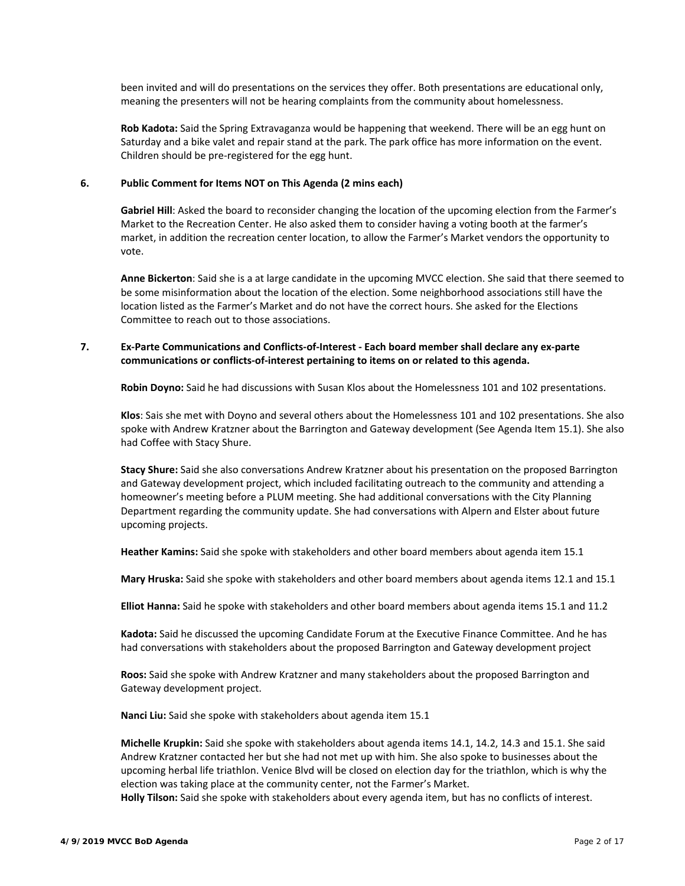been invited and will do presentations on the services they offer. Both presentations are educational only, meaning the presenters will not be hearing complaints from the community about homelessness.

**Rob Kadota:** Said the Spring Extravaganza would be happening that weekend. There will be an egg hunt on Saturday and a bike valet and repair stand at the park. The park office has more information on the event. Children should be pre‐registered for the egg hunt.

### **6. Public Comment for Items NOT on This Agenda (2 mins each)**

**Gabriel Hill**: Asked the board to reconsider changing the location of the upcoming election from the Farmer's Market to the Recreation Center. He also asked them to consider having a voting booth at the farmer's market, in addition the recreation center location, to allow the Farmer's Market vendors the opportunity to vote.

**Anne Bickerton**: Said she is a at large candidate in the upcoming MVCC election. She said that there seemed to be some misinformation about the location of the election. Some neighborhood associations still have the location listed as the Farmer's Market and do not have the correct hours. She asked for the Elections Committee to reach out to those associations.

# **7. Ex‐Parte Communications and Conflicts‐of‐Interest ‐ Each board member shall declare any ex‐parte communications or conflicts‐of‐interest pertaining to items on or related to this agenda.**

**Robin Doyno:** Said he had discussions with Susan Klos about the Homelessness 101 and 102 presentations.

**Klos**: Sais she met with Doyno and several others about the Homelessness 101 and 102 presentations. She also spoke with Andrew Kratzner about the Barrington and Gateway development (See Agenda Item 15.1). She also had Coffee with Stacy Shure.

**Stacy Shure:** Said she also conversations Andrew Kratzner about his presentation on the proposed Barrington and Gateway development project, which included facilitating outreach to the community and attending a homeowner's meeting before a PLUM meeting. She had additional conversations with the City Planning Department regarding the community update. She had conversations with Alpern and Elster about future upcoming projects.

**Heather Kamins:** Said she spoke with stakeholders and other board members about agenda item 15.1

**Mary Hruska:** Said she spoke with stakeholders and other board members about agenda items 12.1 and 15.1

**Elliot Hanna:** Said he spoke with stakeholders and other board members about agenda items 15.1 and 11.2

**Kadota:** Said he discussed the upcoming Candidate Forum at the Executive Finance Committee. And he has had conversations with stakeholders about the proposed Barrington and Gateway development project

**Roos:** Said she spoke with Andrew Kratzner and many stakeholders about the proposed Barrington and Gateway development project.

**Nanci Liu:** Said she spoke with stakeholders about agenda item 15.1

**Michelle Krupkin:** Said she spoke with stakeholders about agenda items 14.1, 14.2, 14.3 and 15.1. She said Andrew Kratzner contacted her but she had not met up with him. She also spoke to businesses about the upcoming herbal life triathlon. Venice Blvd will be closed on election day for the triathlon, which is why the election was taking place at the community center, not the Farmer's Market.

**Holly Tilson:** Said she spoke with stakeholders about every agenda item, but has no conflicts of interest.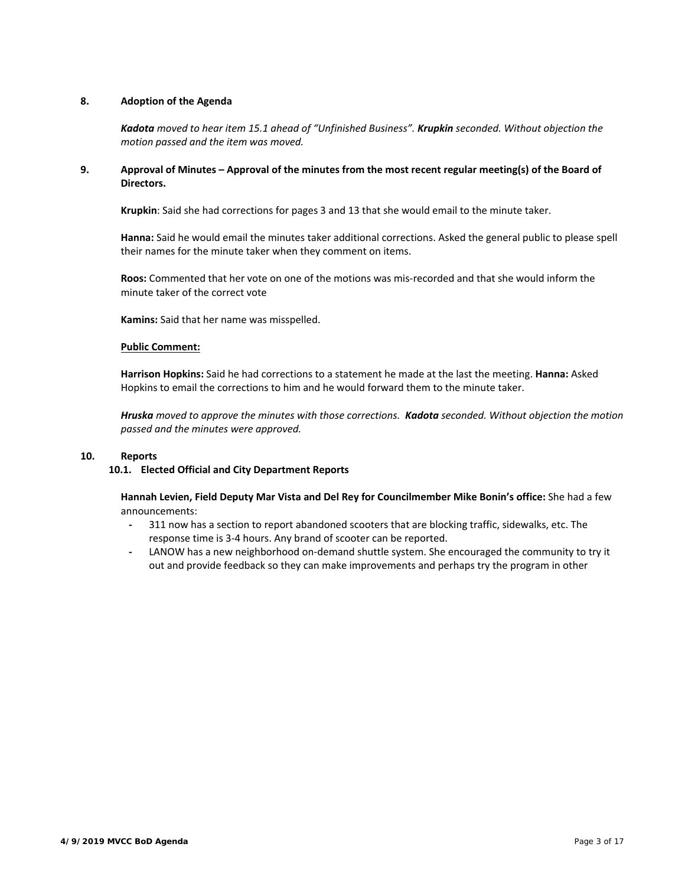# **8. Adoption of the Agenda**

*Kadota moved to hear item 15.1 ahead of "Unfinished Business". Krupkin seconded. Without objection the motion passed and the item was moved.* 

# **9. Approval of Minutes – Approval of the minutes from the most recent regular meeting(s) of the Board of**  Directors.

**Krupkin**: Said she had corrections for pages 3 and 13 that she would email to the minute taker.

**Hanna:** Said he would email the minutes taker additional corrections. Asked the general public to please spell their names for the minute taker when they comment on items.

**Roos:** Commented that her vote on one of the motions was mis‐recorded and that she would inform the minute taker of the correct vote

**Kamins:** Said that her name was misspelled.

#### **Public Comment:**

**Harrison Hopkins:** Said he had corrections to a statement he made at the last the meeting. **Hanna:** Asked Hopkins to email the corrections to him and he would forward them to the minute taker.

*Hruska moved to approve the minutes with those corrections. Kadota seconded. Without objection the motion passed and the minutes were approved.* 

# **10. Reports**

#### **10.1. Elected Official and City Department Reports**

**Hannah Levien, Field Deputy Mar Vista and Del Rey for Councilmember Mike Bonin's office:** She had a few announcements:

- **‐** 311 now has a section to report abandoned scooters that are blocking traffic, sidewalks, etc. The response time is 3‐4 hours. Any brand of scooter can be reported.
- LANOW has a new neighborhood on-demand shuttle system. She encouraged the community to try it out and provide feedback so they can make improvements and perhaps try the program in other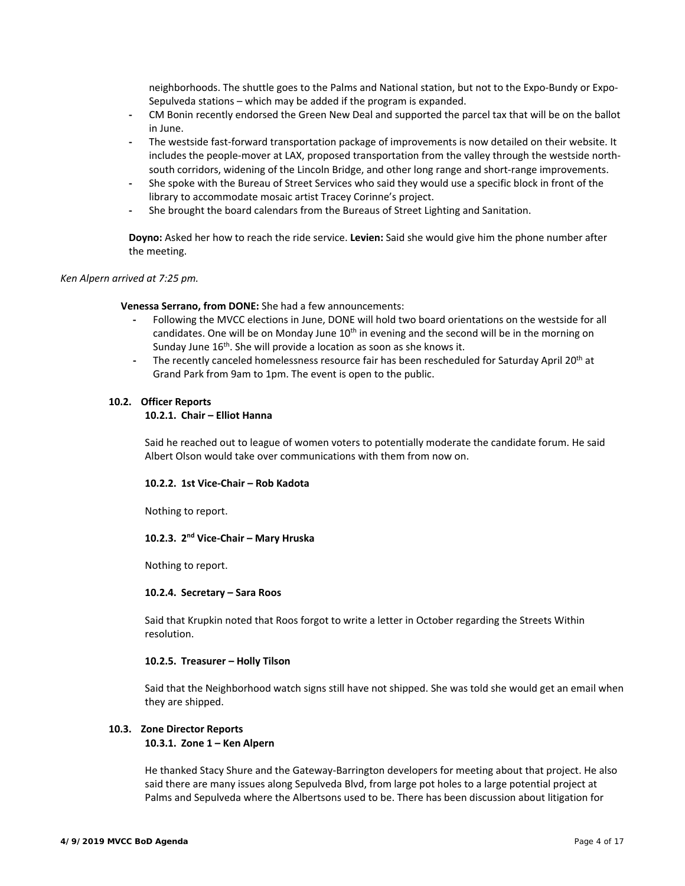neighborhoods. The shuttle goes to the Palms and National station, but not to the Expo‐Bundy or Expo‐ Sepulveda stations – which may be added if the program is expanded.

- **‐** CM Bonin recently endorsed the Green New Deal and supported the parcel tax that will be on the ballot in June.
- The westside fast-forward transportation package of improvements is now detailed on their website. It includes the people-mover at LAX, proposed transportation from the valley through the westside northsouth corridors, widening of the Lincoln Bridge, and other long range and short-range improvements.
- **‐** She spoke with the Bureau of Street Services who said they would use a specific block in front of the library to accommodate mosaic artist Tracey Corinne's project.
- **‐** She brought the board calendars from the Bureaus of Street Lighting and Sanitation.

**Doyno:** Asked her how to reach the ride service. **Levien:** Said she would give him the phone number after the meeting.

#### *Ken Alpern arrived at 7:25 pm.*

**Venessa Serrano, from DONE:** She had a few announcements:

- **‐** Following the MVCC elections in June, DONE will hold two board orientations on the westside for all candidates. One will be on Monday June  $10<sup>th</sup>$  in evening and the second will be in the morning on Sunday June 16<sup>th</sup>. She will provide a location as soon as she knows it.
- The recently canceled homelessness resource fair has been rescheduled for Saturday April 20<sup>th</sup> at Grand Park from 9am to 1pm. The event is open to the public.

#### **10.2. Officer Reports**

# **10.2.1. Chair – Elliot Hanna**

Said he reached out to league of women voters to potentially moderate the candidate forum. He said Albert Olson would take over communications with them from now on.

#### **10.2.2. 1st Vice‐Chair – Rob Kadota**

Nothing to report.

### **10.2.3. 2nd Vice‐Chair – Mary Hruska**

Nothing to report.

#### **10.2.4. Secretary – Sara Roos**

Said that Krupkin noted that Roos forgot to write a letter in October regarding the Streets Within resolution.

#### **10.2.5. Treasurer – Holly Tilson**

Said that the Neighborhood watch signs still have not shipped. She was told she would get an email when they are shipped.

#### **10.3. Zone Director Reports**

#### **10.3.1. Zone 1 – Ken Alpern**

He thanked Stacy Shure and the Gateway‐Barrington developers for meeting about that project. He also said there are many issues along Sepulveda Blvd, from large pot holes to a large potential project at Palms and Sepulveda where the Albertsons used to be. There has been discussion about litigation for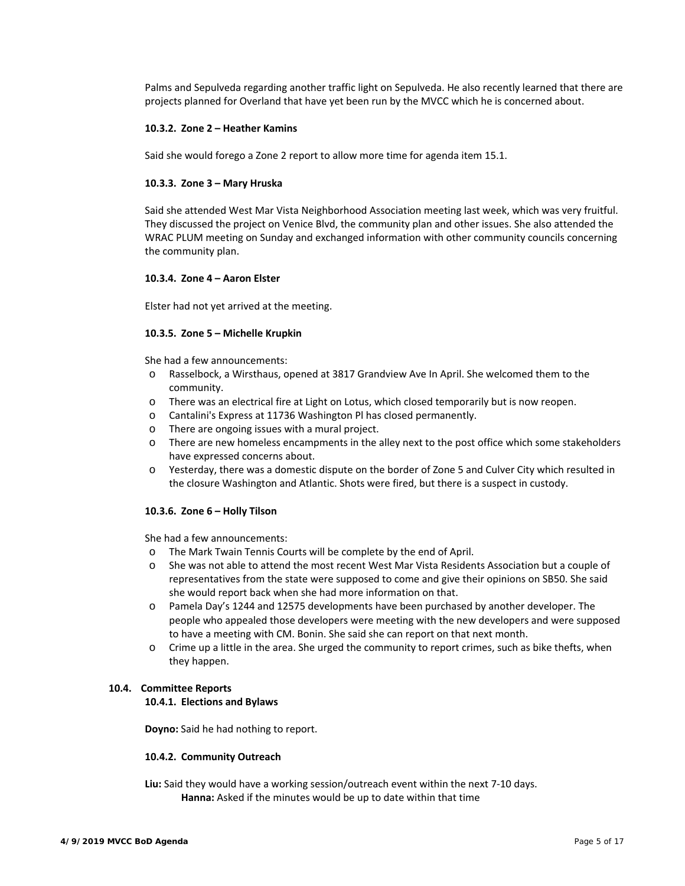Palms and Sepulveda regarding another traffic light on Sepulveda. He also recently learned that there are projects planned for Overland that have yet been run by the MVCC which he is concerned about.

### **10.3.2. Zone 2 – Heather Kamins**

Said she would forego a Zone 2 report to allow more time for agenda item 15.1.

#### **10.3.3. Zone 3 – Mary Hruska**

Said she attended West Mar Vista Neighborhood Association meeting last week, which was very fruitful. They discussed the project on Venice Blvd, the community plan and other issues. She also attended the WRAC PLUM meeting on Sunday and exchanged information with other community councils concerning the community plan.

#### **10.3.4. Zone 4 – Aaron Elster**

Elster had not yet arrived at the meeting.

#### **10.3.5. Zone 5 – Michelle Krupkin**

She had a few announcements:

- o Rasselbock, a Wirsthaus, opened at 3817 Grandview Ave In April. She welcomed them to the community.
- o There was an electrical fire at Light on Lotus, which closed temporarily but is now reopen.
- o Cantalini's Express at 11736 Washington Pl has closed permanently.
- o There are ongoing issues with a mural project.
- o There are new homeless encampments in the alley next to the post office which some stakeholders have expressed concerns about.
- o Yesterday, there was a domestic dispute on the border of Zone 5 and Culver City which resulted in the closure Washington and Atlantic. Shots were fired, but there is a suspect in custody.

#### **10.3.6. Zone 6 – Holly Tilson**

She had a few announcements:

- o The Mark Twain Tennis Courts will be complete by the end of April.
- o She was not able to attend the most recent West Mar Vista Residents Association but a couple of representatives from the state were supposed to come and give their opinions on SB50. She said she would report back when she had more information on that.
- o Pamela Day's 1244 and 12575 developments have been purchased by another developer. The people who appealed those developers were meeting with the new developers and were supposed to have a meeting with CM. Bonin. She said she can report on that next month.
- o Crime up a little in the area. She urged the community to report crimes, such as bike thefts, when they happen.

### **10.4. Committee Reports**

#### **10.4.1. Elections and Bylaws**

**Doyno:** Said he had nothing to report.

### **10.4.2. Community Outreach**

**Liu:** Said they would have a working session/outreach event within the next 7‐10 days. **Hanna:** Asked if the minutes would be up to date within that time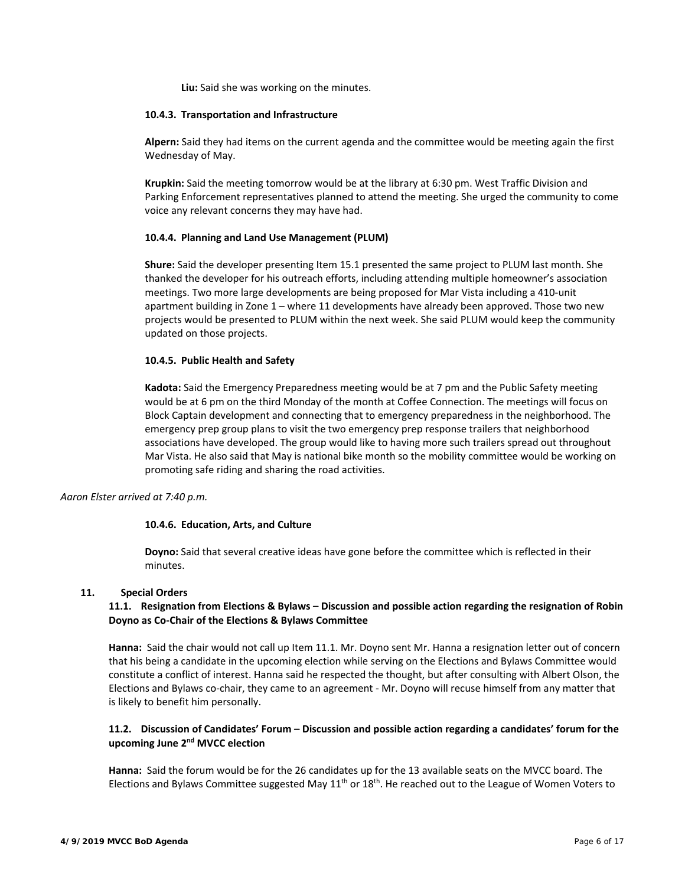**Liu:** Said she was working on the minutes.

#### **10.4.3. Transportation and Infrastructure**

**Alpern:** Said they had items on the current agenda and the committee would be meeting again the first Wednesday of May.

**Krupkin:** Said the meeting tomorrow would be at the library at 6:30 pm. West Traffic Division and Parking Enforcement representatives planned to attend the meeting. She urged the community to come voice any relevant concerns they may have had.

#### **10.4.4. Planning and Land Use Management (PLUM)**

**Shure:** Said the developer presenting Item 15.1 presented the same project to PLUM last month. She thanked the developer for his outreach efforts, including attending multiple homeowner's association meetings. Two more large developments are being proposed for Mar Vista including a 410‐unit apartment building in Zone 1 – where 11 developments have already been approved. Those two new projects would be presented to PLUM within the next week. She said PLUM would keep the community updated on those projects.

#### **10.4.5. Public Health and Safety**

**Kadota:** Said the Emergency Preparedness meeting would be at 7 pm and the Public Safety meeting would be at 6 pm on the third Monday of the month at Coffee Connection. The meetings will focus on Block Captain development and connecting that to emergency preparedness in the neighborhood. The emergency prep group plans to visit the two emergency prep response trailers that neighborhood associations have developed. The group would like to having more such trailers spread out throughout Mar Vista. He also said that May is national bike month so the mobility committee would be working on promoting safe riding and sharing the road activities.

### *Aaron Elster arrived at 7:40 p.m.*

#### **10.4.6. Education, Arts, and Culture**

**Doyno:** Said that several creative ideas have gone before the committee which is reflected in their minutes.

#### **11. Special Orders**

### **11.1. Resignation from Elections & Bylaws – Discussion and possible action regarding the resignation of Robin Doyno as Co‐Chair of the Elections & Bylaws Committee**

**Hanna:** Said the chair would not call up Item 11.1. Mr. Doyno sent Mr. Hanna a resignation letter out of concern that his being a candidate in the upcoming election while serving on the Elections and Bylaws Committee would constitute a conflict of interest. Hanna said he respected the thought, but after consulting with Albert Olson, the Elections and Bylaws co‐chair, they came to an agreement ‐ Mr. Doyno will recuse himself from any matter that is likely to benefit him personally.

### **11.2. Discussion of Candidates' Forum – Discussion and possible action regarding a candidates' forum for the upcoming June 2nd MVCC election**

**Hanna:** Said the forum would be for the 26 candidates up for the 13 available seats on the MVCC board. The Elections and Bylaws Committee suggested May 11<sup>th</sup> or 18<sup>th</sup>. He reached out to the League of Women Voters to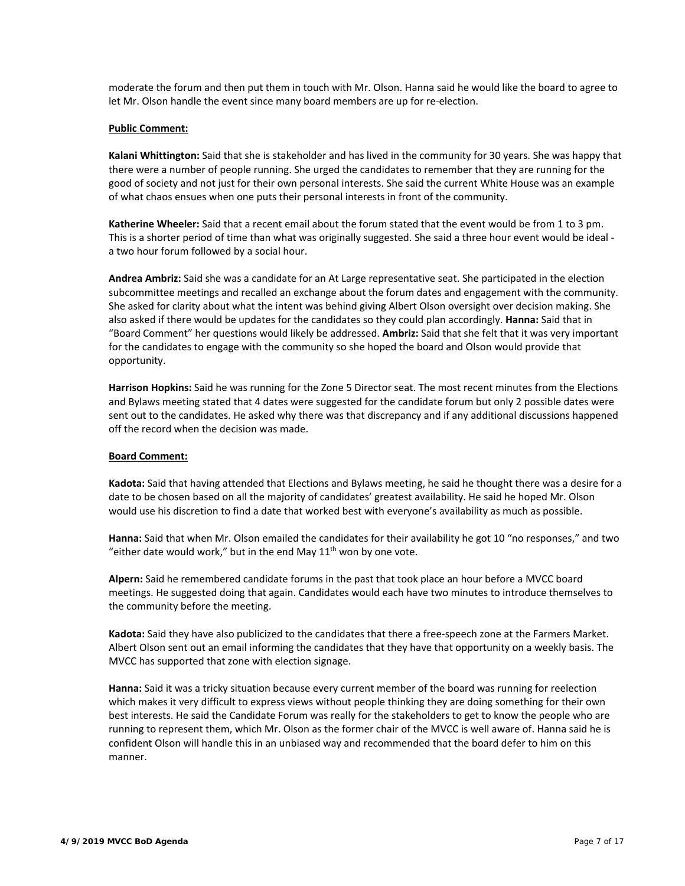moderate the forum and then put them in touch with Mr. Olson. Hanna said he would like the board to agree to let Mr. Olson handle the event since many board members are up for re‐election.

#### **Public Comment:**

**Kalani Whittington:** Said that she is stakeholder and has lived in the community for 30 years. She was happy that there were a number of people running. She urged the candidates to remember that they are running for the good of society and not just for their own personal interests. She said the current White House was an example of what chaos ensues when one puts their personal interests in front of the community.

**Katherine Wheeler:** Said that a recent email about the forum stated that the event would be from 1 to 3 pm. This is a shorter period of time than what was originally suggested. She said a three hour event would be ideal ‐ a two hour forum followed by a social hour.

**Andrea Ambriz:** Said she was a candidate for an At Large representative seat. She participated in the election subcommittee meetings and recalled an exchange about the forum dates and engagement with the community. She asked for clarity about what the intent was behind giving Albert Olson oversight over decision making. She also asked if there would be updates for the candidates so they could plan accordingly. **Hanna:** Said that in "Board Comment" her questions would likely be addressed. **Ambriz:** Said that she felt that it was very important for the candidates to engage with the community so she hoped the board and Olson would provide that opportunity.

**Harrison Hopkins:** Said he was running for the Zone 5 Director seat. The most recent minutes from the Elections and Bylaws meeting stated that 4 dates were suggested for the candidate forum but only 2 possible dates were sent out to the candidates. He asked why there was that discrepancy and if any additional discussions happened off the record when the decision was made.

#### **Board Comment:**

**Kadota:** Said that having attended that Elections and Bylaws meeting, he said he thought there was a desire for a date to be chosen based on all the majority of candidates' greatest availability. He said he hoped Mr. Olson would use his discretion to find a date that worked best with everyone's availability as much as possible.

**Hanna:** Said that when Mr. Olson emailed the candidates for their availability he got 10 "no responses," and two "either date would work," but in the end May  $11<sup>th</sup>$  won by one vote.

**Alpern:** Said he remembered candidate forums in the past that took place an hour before a MVCC board meetings. He suggested doing that again. Candidates would each have two minutes to introduce themselves to the community before the meeting.

**Kadota:** Said they have also publicized to the candidates that there a free‐speech zone at the Farmers Market. Albert Olson sent out an email informing the candidates that they have that opportunity on a weekly basis. The MVCC has supported that zone with election signage.

**Hanna:** Said it was a tricky situation because every current member of the board was running for reelection which makes it very difficult to express views without people thinking they are doing something for their own best interests. He said the Candidate Forum was really for the stakeholders to get to know the people who are running to represent them, which Mr. Olson as the former chair of the MVCC is well aware of. Hanna said he is confident Olson will handle this in an unbiased way and recommended that the board defer to him on this manner.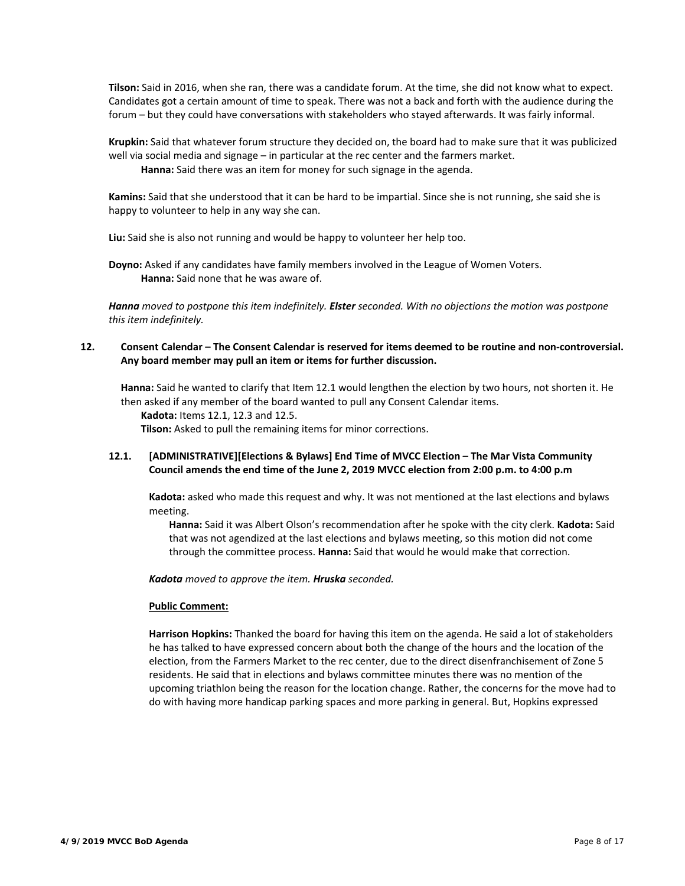**Tilson:** Said in 2016, when she ran, there was a candidate forum. At the time, she did not know what to expect. Candidates got a certain amount of time to speak. There was not a back and forth with the audience during the forum – but they could have conversations with stakeholders who stayed afterwards. It was fairly informal.

**Krupkin:** Said that whatever forum structure they decided on, the board had to make sure that it was publicized well via social media and signage – in particular at the rec center and the farmers market.  **Hanna:** Said there was an item for money for such signage in the agenda.

**Kamins:** Said that she understood that it can be hard to be impartial. Since she is not running, she said she is happy to volunteer to help in any way she can.

**Liu:** Said she is also not running and would be happy to volunteer her help too.

**Doyno:** Asked if any candidates have family members involved in the League of Women Voters.  **Hanna:** Said none that he was aware of.

*Hanna moved to postpone this item indefinitely. Elster seconded. With no objections the motion was postpone this item indefinitely.* 

# **12. Consent Calendar – The Consent Calendar is reserved for items deemed to be routine and non‐controversial. Any board member may pull an item or items for further discussion.**

**Hanna:** Said he wanted to clarify that Item 12.1 would lengthen the election by two hours, not shorten it. He then asked if any member of the board wanted to pull any Consent Calendar items.  **Kadota:** Items 12.1, 12.3 and 12.5.

 **Tilson:** Asked to pull the remaining items for minor corrections.

# **12.1. [ADMINISTRATIVE][Elections & Bylaws] End Time of MVCC Election – The Mar Vista Community Council amends the end time of the June 2, 2019 MVCC election from 2:00 p.m. to 4:00 p.m**

**Kadota:** asked who made this request and why. It was not mentioned at the last elections and bylaws meeting.

**Hanna:** Said it was Albert Olson's recommendation after he spoke with the city clerk. **Kadota:** Said that was not agendized at the last elections and bylaws meeting, so this motion did not come through the committee process. **Hanna:** Said that would he would make that correction.

*Kadota moved to approve the item. Hruska seconded.* 

# **Public Comment:**

**Harrison Hopkins:** Thanked the board for having this item on the agenda. He said a lot of stakeholders he has talked to have expressed concern about both the change of the hours and the location of the election, from the Farmers Market to the rec center, due to the direct disenfranchisement of Zone 5 residents. He said that in elections and bylaws committee minutes there was no mention of the upcoming triathlon being the reason for the location change. Rather, the concerns for the move had to do with having more handicap parking spaces and more parking in general. But, Hopkins expressed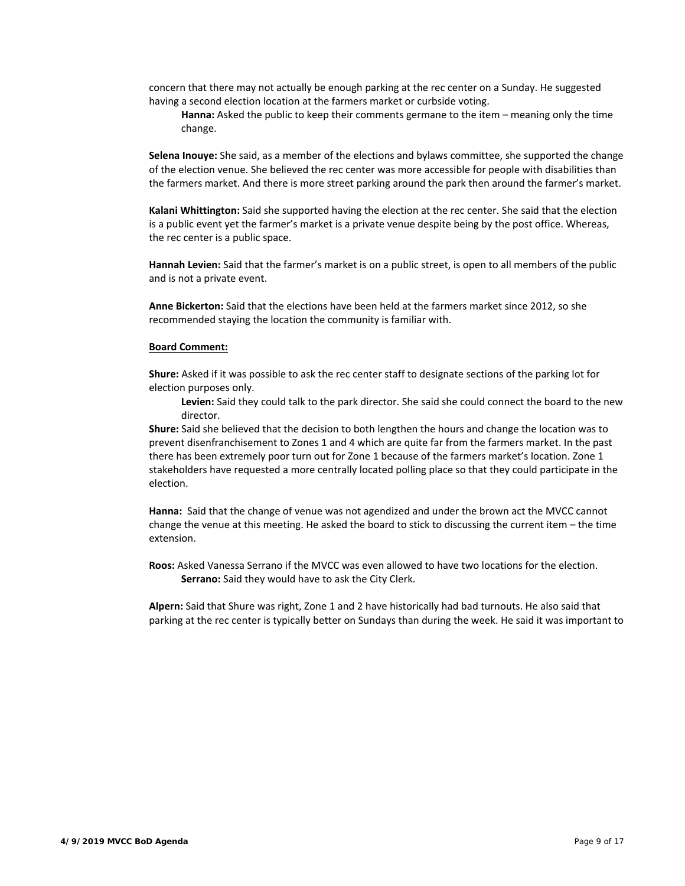concern that there may not actually be enough parking at the rec center on a Sunday. He suggested having a second election location at the farmers market or curbside voting.

**Hanna:** Asked the public to keep their comments germane to the item – meaning only the time change.

**Selena Inouye:** She said, as a member of the elections and bylaws committee, she supported the change of the election venue. She believed the rec center was more accessible for people with disabilities than the farmers market. And there is more street parking around the park then around the farmer's market.

**Kalani Whittington:** Said she supported having the election at the rec center. She said that the election is a public event yet the farmer's market is a private venue despite being by the post office. Whereas, the rec center is a public space.

**Hannah Levien:** Said that the farmer's market is on a public street, is open to all members of the public and is not a private event.

**Anne Bickerton:** Said that the elections have been held at the farmers market since 2012, so she recommended staying the location the community is familiar with.

#### **Board Comment:**

**Shure:** Asked if it was possible to ask the rec center staff to designate sections of the parking lot for election purposes only.

**Levien:** Said they could talk to the park director. She said she could connect the board to the new director.

**Shure:** Said she believed that the decision to both lengthen the hours and change the location was to prevent disenfranchisement to Zones 1 and 4 which are quite far from the farmers market. In the past there has been extremely poor turn out for Zone 1 because of the farmers market's location. Zone 1 stakeholders have requested a more centrally located polling place so that they could participate in the election.

**Hanna:**  Said that the change of venue was not agendized and under the brown act the MVCC cannot change the venue at this meeting. He asked the board to stick to discussing the current item – the time extension.

**Roos:** Asked Vanessa Serrano if the MVCC was even allowed to have two locations for the election. **Serrano:** Said they would have to ask the City Clerk.

**Alpern:** Said that Shure was right, Zone 1 and 2 have historically had bad turnouts. He also said that parking at the rec center is typically better on Sundays than during the week. He said it was important to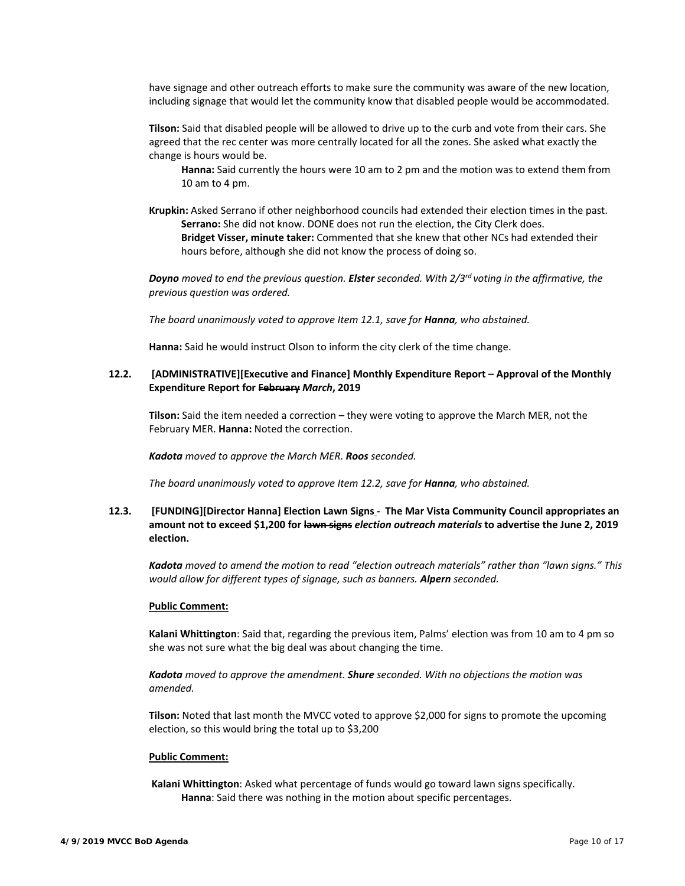have signage and other outreach efforts to make sure the community was aware of the new location, including signage that would let the community know that disabled people would be accommodated.

**Tilson:** Said that disabled people will be allowed to drive up to the curb and vote from their cars. She agreed that the rec center was more centrally located for all the zones. She asked what exactly the change is hours would be.

**Hanna:** Said currently the hours were 10 am to 2 pm and the motion was to extend them from 10 am to 4 pm.

**Krupkin:** Asked Serrano if other neighborhood councils had extended their election times in the past. **Serrano:** She did not know. DONE does not run the election, the City Clerk does. **Bridget Visser, minute taker:** Commented that she knew that other NCs had extended their hours before, although she did not know the process of doing so.

*Doyno moved to end the previous question. Elster seconded. With 2/3rd voting in the affirmative, the previous question was ordered.* 

*The board unanimously voted to approve Item 12.1, save for Hanna, who abstained.* 

**Hanna:** Said he would instruct Olson to inform the city clerk of the time change.

# **12.2. [ADMINISTRATIVE][Executive and Finance] Monthly Expenditure Report – Approval of the Monthly Expenditure Report for February** *March***, 2019**

**Tilson:** Said the item needed a correction – they were voting to approve the March MER, not the February MER. **Hanna:** Noted the correction.

*Kadota moved to approve the March MER. Roos seconded.* 

*The board unanimously voted to approve Item 12.2, save for Hanna, who abstained.* 

# **12.3. [FUNDING][Director Hanna] Election Lawn Signs ‐ The Mar Vista Community Council appropriates an amount not to exceed \$1,200 for lawn signs** *election outreach materials* **to advertise the June 2, 2019 election.**

*Kadota moved to amend the motion to read "election outreach materials" rather than "lawn signs." This would allow for different types of signage, such as banners. Alpern seconded.* 

#### **Public Comment:**

**Kalani Whittington**: Said that, regarding the previous item, Palms' election was from 10 am to 4 pm so she was not sure what the big deal was about changing the time.

*Kadota moved to approve the amendment. Shure seconded. With no objections the motion was amended.* 

**Tilson:** Noted that last month the MVCC voted to approve \$2,000 for signs to promote the upcoming election, so this would bring the total up to \$3,200

#### **Public Comment:**

**Kalani Whittington**: Asked what percentage of funds would go toward lawn signs specifically.  **Hanna**: Said there was nothing in the motion about specific percentages.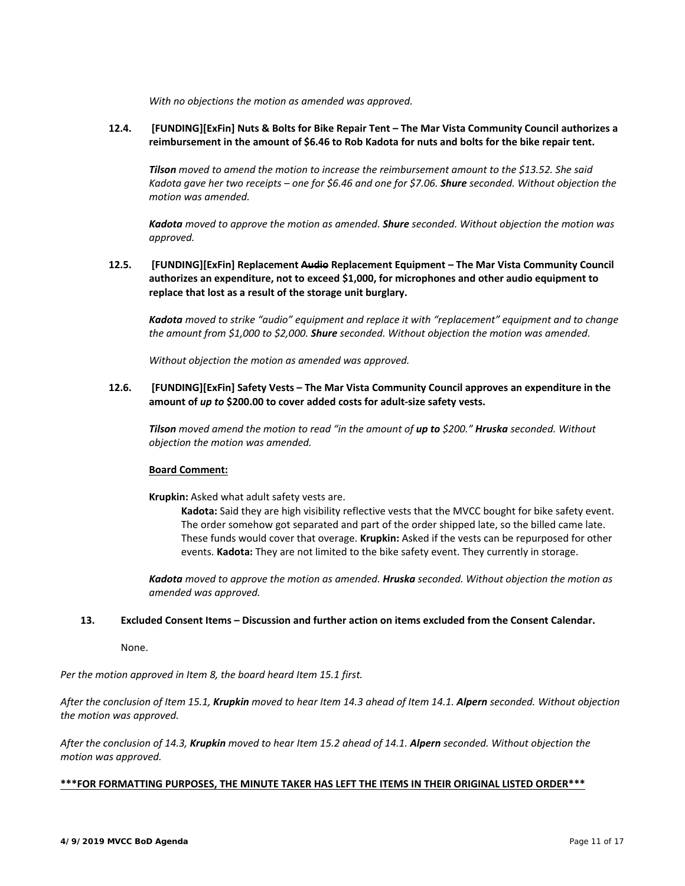*With no objections the motion as amended was approved.* 

# **12.4. [FUNDING][ExFin] Nuts & Bolts for Bike Repair Tent – The Mar Vista Community Council authorizes a reimbursement in the amount of \$6.46 to Rob Kadota for nuts and bolts for the bike repair tent.**

*Tilson moved to amend the motion to increase the reimbursement amount to the \$13.52. She said Kadota gave her two receipts – one for \$6.46 and one for \$7.06. Shure seconded. Without objection the motion was amended.* 

*Kadota moved to approve the motion as amended. Shure seconded. Without objection the motion was approved.* 

# **12.5. [FUNDING][ExFin] Replacement Audio Replacement Equipment – The Mar Vista Community Council authorizes an expenditure, not to exceed \$1,000, for microphones and other audio equipment to replace that lost as a result of the storage unit burglary.**

*Kadota moved to strike "audio" equipment and replace it with "replacement" equipment and to change the amount from \$1,000 to \$2,000. Shure seconded. Without objection the motion was amended.* 

*Without objection the motion as amended was approved.* 

### **12.6. [FUNDING][ExFin] Safety Vests – The Mar Vista Community Council approves an expenditure in the amount of** *up to* **\$200.00 to cover added costs for adult‐size safety vests.**

*Tilson moved amend the motion to read "in the amount of up to \$200." Hruska seconded. Without objection the motion was amended.* 

#### **Board Comment:**

**Krupkin:** Asked what adult safety vests are.

**Kadota:** Said they are high visibility reflective vests that the MVCC bought for bike safety event. The order somehow got separated and part of the order shipped late, so the billed came late. These funds would cover that overage. **Krupkin:** Asked if the vests can be repurposed for other events. **Kadota:** They are not limited to the bike safety event. They currently in storage.

*Kadota moved to approve the motion as amended. Hruska seconded. Without objection the motion as amended was approved.* 

#### **13. Excluded Consent Items – Discussion and further action on items excluded from the Consent Calendar.**

None.

*Per the motion approved in Item 8, the board heard Item 15.1 first.* 

*After the conclusion of Item 15.1, Krupkin moved to hear Item 14.3 ahead of Item 14.1. Alpern seconded. Without objection the motion was approved.* 

*After the conclusion of 14.3, Krupkin moved to hear Item 15.2 ahead of 14.1. Alpern seconded. Without objection the motion was approved.* 

### **\*\*\*FOR FORMATTING PURPOSES, THE MINUTE TAKER HAS LEFT THE ITEMS IN THEIR ORIGINAL LISTED ORDER\*\*\***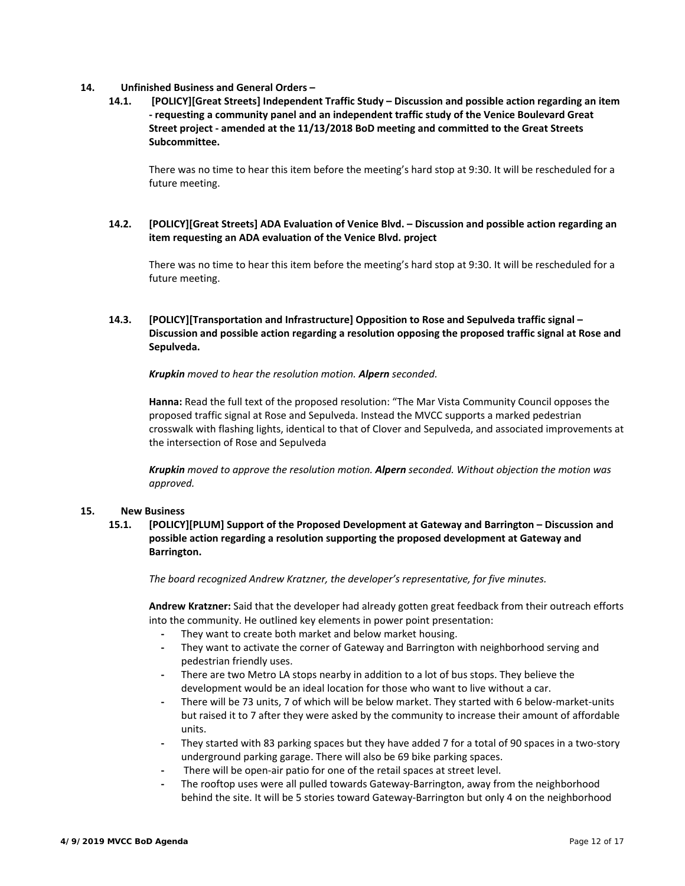### **14. Unfinished Business and General Orders –**

**14.1. [POLICY][Great Streets] Independent Traffic Study – Discussion and possible action regarding an item ‐ requesting a community panel and an independent traffic study of the Venice Boulevard Great Street project ‐ amended at the 11/13/2018 BoD meeting and committed to the Great Streets Subcommittee.** 

There was no time to hear this item before the meeting's hard stop at 9:30. It will be rescheduled for a future meeting.

# **14.2. [POLICY][Great Streets] ADA Evaluation of Venice Blvd. – Discussion and possible action regarding an item requesting an ADA evaluation of the Venice Blvd. project**

There was no time to hear this item before the meeting's hard stop at 9:30. It will be rescheduled for a future meeting.

# **14.3. [POLICY][Transportation and Infrastructure] Opposition to Rose and Sepulveda traffic signal – Discussion and possible action regarding a resolution opposing the proposed traffic signal at Rose and Sepulveda.**

*Krupkin moved to hear the resolution motion. Alpern seconded.*

**Hanna:** Read the full text of the proposed resolution: "The Mar Vista Community Council opposes the proposed traffic signal at Rose and Sepulveda. Instead the MVCC supports a marked pedestrian crosswalk with flashing lights, identical to that of Clover and Sepulveda, and associated improvements at the intersection of Rose and Sepulveda

*Krupkin moved to approve the resolution motion. Alpern seconded. Without objection the motion was approved.* 

#### **15. New Business**

**15.1. [POLICY][PLUM] Support of the Proposed Development at Gateway and Barrington – Discussion and possible action regarding a resolution supporting the proposed development at Gateway and Barrington.** 

*The board recognized Andrew Kratzner, the developer's representative, for five minutes.* 

**Andrew Kratzner:** Said that the developer had already gotten great feedback from their outreach efforts into the community. He outlined key elements in power point presentation:

- **‐** They want to create both market and below market housing.
- **‐** They want to activate the corner of Gateway and Barrington with neighborhood serving and pedestrian friendly uses.
- **‐** There are two Metro LA stops nearby in addition to a lot of bus stops. They believe the development would be an ideal location for those who want to live without a car.
- There will be 73 units, 7 of which will be below market. They started with 6 below-market-units but raised it to 7 after they were asked by the community to increase their amount of affordable units.
- **‐** They started with 83 parking spaces but they have added 7 for a total of 90 spaces in a two‐story underground parking garage. There will also be 69 bike parking spaces.
- There will be open-air patio for one of the retail spaces at street level.
- **‐** The rooftop uses were all pulled towards Gateway‐Barrington, away from the neighborhood behind the site. It will be 5 stories toward Gateway‐Barrington but only 4 on the neighborhood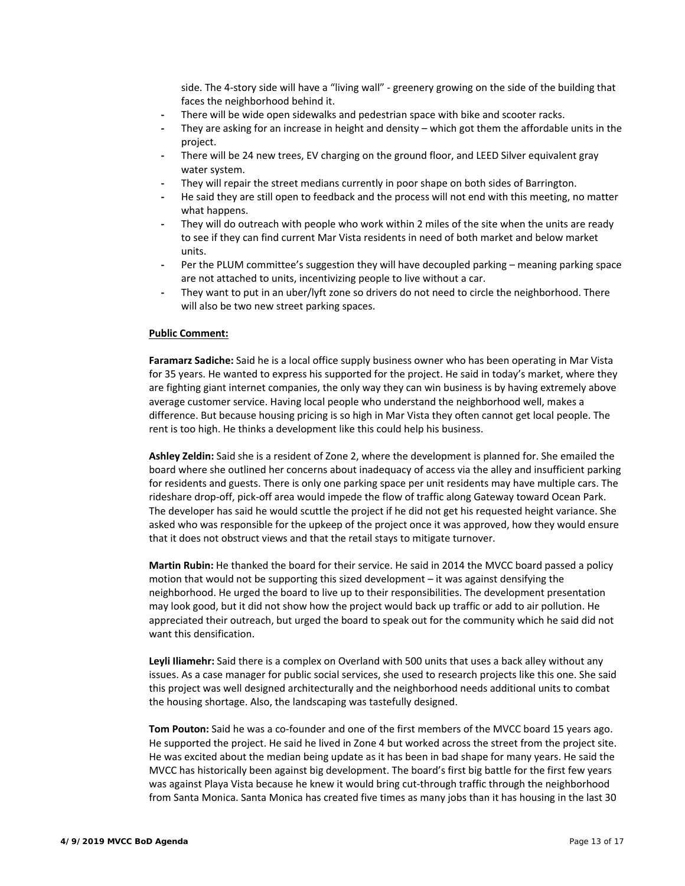side. The 4-story side will have a "living wall" - greenery growing on the side of the building that faces the neighborhood behind it.

- **‐** There will be wide open sidewalks and pedestrian space with bike and scooter racks.
- **‐** They are asking for an increase in height and density which got them the affordable units in the project.
- **‐** There will be 24 new trees, EV charging on the ground floor, and LEED Silver equivalent gray water system.
- **‐** They will repair the street medians currently in poor shape on both sides of Barrington.
- **‐** He said they are still open to feedback and the process will not end with this meeting, no matter what happens.
- **‐** They will do outreach with people who work within 2 miles of the site when the units are ready to see if they can find current Mar Vista residents in need of both market and below market units.
- Per the PLUM committee's suggestion they will have decoupled parking meaning parking space are not attached to units, incentivizing people to live without a car.
- **‐** They want to put in an uber/lyft zone so drivers do not need to circle the neighborhood. There will also be two new street parking spaces.

#### **Public Comment:**

**Faramarz Sadiche:** Said he is a local office supply business owner who has been operating in Mar Vista for 35 years. He wanted to express his supported for the project. He said in today's market, where they are fighting giant internet companies, the only way they can win business is by having extremely above average customer service. Having local people who understand the neighborhood well, makes a difference. But because housing pricing is so high in Mar Vista they often cannot get local people. The rent is too high. He thinks a development like this could help his business.

**Ashley Zeldin:** Said she is a resident of Zone 2, where the development is planned for. She emailed the board where she outlined her concerns about inadequacy of access via the alley and insufficient parking for residents and guests. There is only one parking space per unit residents may have multiple cars. The rideshare drop‐off, pick‐off area would impede the flow of traffic along Gateway toward Ocean Park. The developer has said he would scuttle the project if he did not get his requested height variance. She asked who was responsible for the upkeep of the project once it was approved, how they would ensure that it does not obstruct views and that the retail stays to mitigate turnover.

**Martin Rubin:** He thanked the board for their service. He said in 2014 the MVCC board passed a policy motion that would not be supporting this sized development – it was against densifying the neighborhood. He urged the board to live up to their responsibilities. The development presentation may look good, but it did not show how the project would back up traffic or add to air pollution. He appreciated their outreach, but urged the board to speak out for the community which he said did not want this densification.

**Leyli Iliamehr:** Said there is a complex on Overland with 500 units that uses a back alley without any issues. As a case manager for public social services, she used to research projects like this one. She said this project was well designed architecturally and the neighborhood needs additional units to combat the housing shortage. Also, the landscaping was tastefully designed.

**Tom Pouton:** Said he was a co-founder and one of the first members of the MVCC board 15 years ago. He supported the project. He said he lived in Zone 4 but worked across the street from the project site. He was excited about the median being update as it has been in bad shape for many years. He said the MVCC has historically been against big development. The board's first big battle for the first few years was against Playa Vista because he knew it would bring cut-through traffic through the neighborhood from Santa Monica. Santa Monica has created five times as many jobs than it has housing in the last 30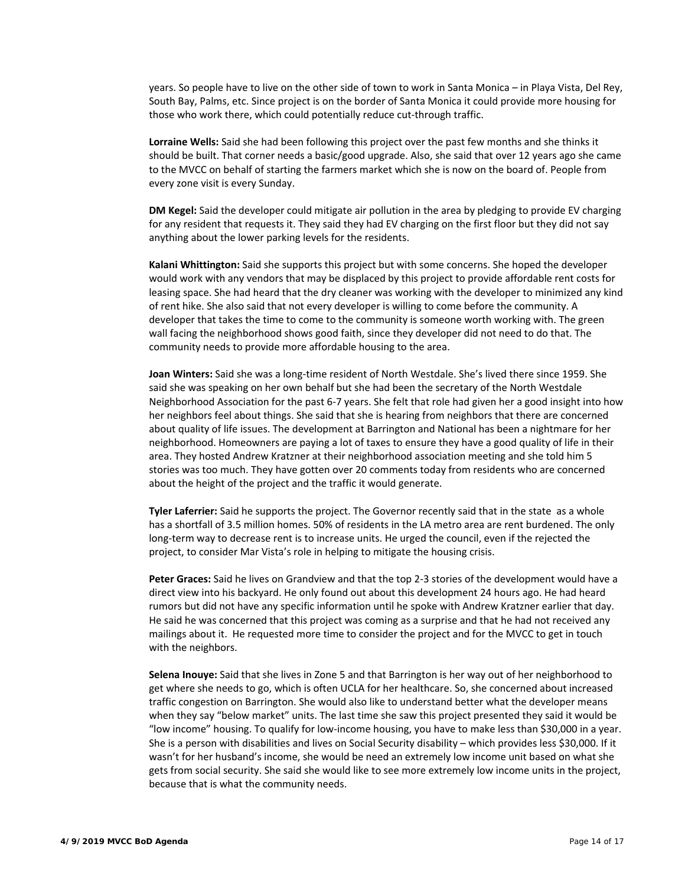years. So people have to live on the other side of town to work in Santa Monica – in Playa Vista, Del Rey, South Bay, Palms, etc. Since project is on the border of Santa Monica it could provide more housing for those who work there, which could potentially reduce cut‐through traffic.

**Lorraine Wells:** Said she had been following this project over the past few months and she thinks it should be built. That corner needs a basic/good upgrade. Also, she said that over 12 years ago she came to the MVCC on behalf of starting the farmers market which she is now on the board of. People from every zone visit is every Sunday.

**DM Kegel:** Said the developer could mitigate air pollution in the area by pledging to provide EV charging for any resident that requests it. They said they had EV charging on the first floor but they did not say anything about the lower parking levels for the residents.

**Kalani Whittington:** Said she supports this project but with some concerns. She hoped the developer would work with any vendors that may be displaced by this project to provide affordable rent costs for leasing space. She had heard that the dry cleaner was working with the developer to minimized any kind of rent hike. She also said that not every developer is willing to come before the community. A developer that takes the time to come to the community is someone worth working with. The green wall facing the neighborhood shows good faith, since they developer did not need to do that. The community needs to provide more affordable housing to the area.

**Joan Winters:** Said she was a long‐time resident of North Westdale. She's lived there since 1959. She said she was speaking on her own behalf but she had been the secretary of the North Westdale Neighborhood Association for the past 6‐7 years. She felt that role had given her a good insight into how her neighbors feel about things. She said that she is hearing from neighbors that there are concerned about quality of life issues. The development at Barrington and National has been a nightmare for her neighborhood. Homeowners are paying a lot of taxes to ensure they have a good quality of life in their area. They hosted Andrew Kratzner at their neighborhood association meeting and she told him 5 stories was too much. They have gotten over 20 comments today from residents who are concerned about the height of the project and the traffic it would generate.

**Tyler Laferrier:** Said he supports the project. The Governor recently said that in the state as a whole has a shortfall of 3.5 million homes. 50% of residents in the LA metro area are rent burdened. The only long‐term way to decrease rent is to increase units. He urged the council, even if the rejected the project, to consider Mar Vista's role in helping to mitigate the housing crisis.

**Peter Graces:** Said he lives on Grandview and that the top 2‐3 stories of the development would have a direct view into his backyard. He only found out about this development 24 hours ago. He had heard rumors but did not have any specific information until he spoke with Andrew Kratzner earlier that day. He said he was concerned that this project was coming as a surprise and that he had not received any mailings about it. He requested more time to consider the project and for the MVCC to get in touch with the neighbors.

**Selena Inouye:** Said that she lives in Zone 5 and that Barrington is her way out of her neighborhood to get where she needs to go, which is often UCLA for her healthcare. So, she concerned about increased traffic congestion on Barrington. She would also like to understand better what the developer means when they say "below market" units. The last time she saw this project presented they said it would be "low income" housing. To qualify for low‐income housing, you have to make less than \$30,000 in a year. She is a person with disabilities and lives on Social Security disability – which provides less \$30,000. If it wasn't for her husband's income, she would be need an extremely low income unit based on what she gets from social security. She said she would like to see more extremely low income units in the project, because that is what the community needs.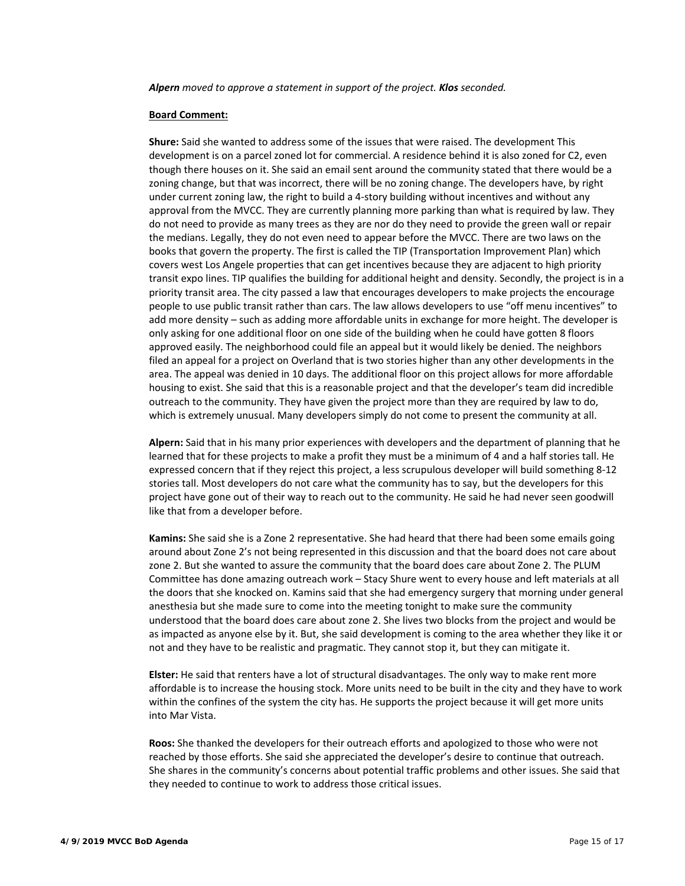*Alpern moved to approve a statement in support of the project. Klos seconded.* 

#### **Board Comment:**

**Shure:** Said she wanted to address some of the issues that were raised. The development This development is on a parcel zoned lot for commercial. A residence behind it is also zoned for C2, even though there houses on it. She said an email sent around the community stated that there would be a zoning change, but that was incorrect, there will be no zoning change. The developers have, by right under current zoning law, the right to build a 4‐story building without incentives and without any approval from the MVCC. They are currently planning more parking than what is required by law. They do not need to provide as many trees as they are nor do they need to provide the green wall or repair the medians. Legally, they do not even need to appear before the MVCC. There are two laws on the books that govern the property. The first is called the TIP (Transportation Improvement Plan) which covers west Los Angele properties that can get incentives because they are adjacent to high priority transit expo lines. TIP qualifies the building for additional height and density. Secondly, the project is in a priority transit area. The city passed a law that encourages developers to make projects the encourage people to use public transit rather than cars. The law allows developers to use "off menu incentives" to add more density – such as adding more affordable units in exchange for more height. The developer is only asking for one additional floor on one side of the building when he could have gotten 8 floors approved easily. The neighborhood could file an appeal but it would likely be denied. The neighbors filed an appeal for a project on Overland that is two stories higher than any other developments in the area. The appeal was denied in 10 days. The additional floor on this project allows for more affordable housing to exist. She said that this is a reasonable project and that the developer's team did incredible outreach to the community. They have given the project more than they are required by law to do, which is extremely unusual. Many developers simply do not come to present the community at all.

**Alpern:** Said that in his many prior experiences with developers and the department of planning that he learned that for these projects to make a profit they must be a minimum of 4 and a half stories tall. He expressed concern that if they reject this project, a less scrupulous developer will build something 8‐12 stories tall. Most developers do not care what the community has to say, but the developers for this project have gone out of their way to reach out to the community. He said he had never seen goodwill like that from a developer before.

**Kamins:** She said she is a Zone 2 representative. She had heard that there had been some emails going around about Zone 2's not being represented in this discussion and that the board does not care about zone 2. But she wanted to assure the community that the board does care about Zone 2. The PLUM Committee has done amazing outreach work – Stacy Shure went to every house and left materials at all the doors that she knocked on. Kamins said that she had emergency surgery that morning under general anesthesia but she made sure to come into the meeting tonight to make sure the community understood that the board does care about zone 2. She lives two blocks from the project and would be as impacted as anyone else by it. But, she said development is coming to the area whether they like it or not and they have to be realistic and pragmatic. They cannot stop it, but they can mitigate it.

**Elster:** He said that renters have a lot of structural disadvantages. The only way to make rent more affordable is to increase the housing stock. More units need to be built in the city and they have to work within the confines of the system the city has. He supports the project because it will get more units into Mar Vista.

**Roos:** She thanked the developers for their outreach efforts and apologized to those who were not reached by those efforts. She said she appreciated the developer's desire to continue that outreach. She shares in the community's concerns about potential traffic problems and other issues. She said that they needed to continue to work to address those critical issues.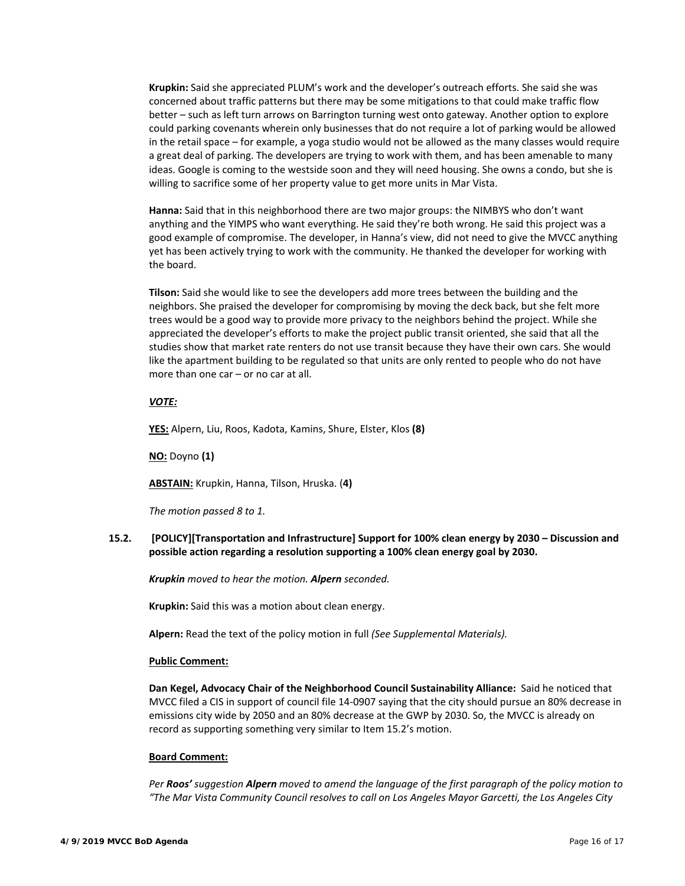**Krupkin:** Said she appreciated PLUM's work and the developer's outreach efforts. She said she was concerned about traffic patterns but there may be some mitigations to that could make traffic flow better – such as left turn arrows on Barrington turning west onto gateway. Another option to explore could parking covenants wherein only businesses that do not require a lot of parking would be allowed in the retail space – for example, a yoga studio would not be allowed as the many classes would require a great deal of parking. The developers are trying to work with them, and has been amenable to many ideas. Google is coming to the westside soon and they will need housing. She owns a condo, but she is willing to sacrifice some of her property value to get more units in Mar Vista.

**Hanna:** Said that in this neighborhood there are two major groups: the NIMBYS who don't want anything and the YIMPS who want everything. He said they're both wrong. He said this project was a good example of compromise. The developer, in Hanna's view, did not need to give the MVCC anything yet has been actively trying to work with the community. He thanked the developer for working with the board.

**Tilson:** Said she would like to see the developers add more trees between the building and the neighbors. She praised the developer for compromising by moving the deck back, but she felt more trees would be a good way to provide more privacy to the neighbors behind the project. While she appreciated the developer's efforts to make the project public transit oriented, she said that all the studies show that market rate renters do not use transit because they have their own cars. She would like the apartment building to be regulated so that units are only rented to people who do not have more than one car – or no car at all.

### *VOTE:*

**YES:** Alpern, Liu, Roos, Kadota, Kamins, Shure, Elster, Klos **(8)**

**NO:** Doyno **(1)** 

**ABSTAIN:** Krupkin, Hanna, Tilson, Hruska. (**4)**

*The motion passed 8 to 1.* 

### **15.2. [POLICY][Transportation and Infrastructure] Support for 100% clean energy by 2030 – Discussion and possible action regarding a resolution supporting a 100% clean energy goal by 2030.**

*Krupkin moved to hear the motion. Alpern seconded.* 

**Krupkin:** Said this was a motion about clean energy.

**Alpern:** Read the text of the policy motion in full *(See Supplemental Materials).* 

#### **Public Comment:**

Dan Kegel, Advocacy Chair of the Neighborhood Council Sustainability Alliance: Said he noticed that MVCC filed a CIS in support of council file 14‐0907 saying that the city should pursue an 80% decrease in emissions city wide by 2050 and an 80% decrease at the GWP by 2030. So, the MVCC is already on record as supporting something very similar to Item 15.2's motion.

#### **Board Comment:**

*Per Roos' suggestion Alpern moved to amend the language of the first paragraph of the policy motion to "The Mar Vista Community Council resolves to call on Los Angeles Mayor Garcetti, the Los Angeles City*